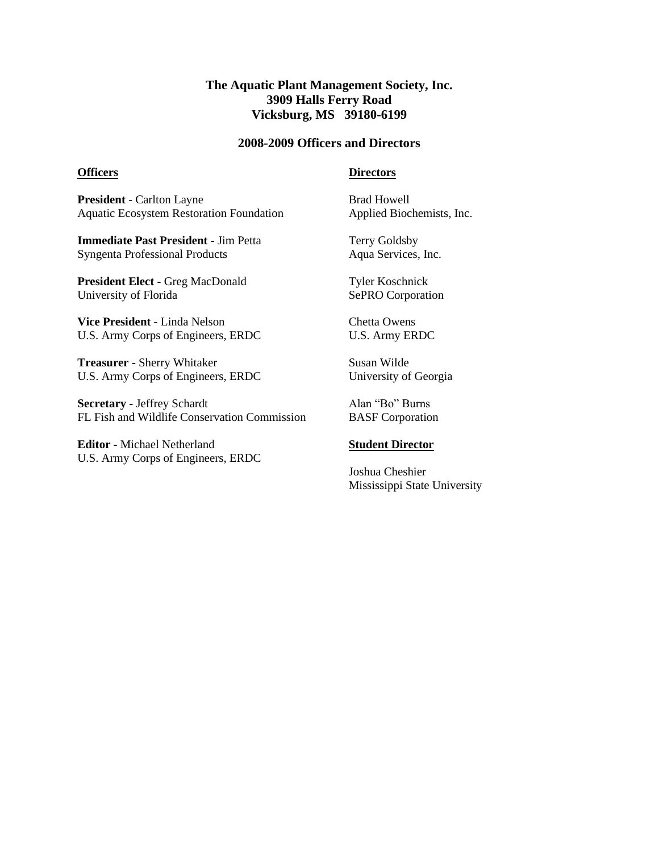## **The Aquatic Plant Management Society, Inc. 3909 Halls Ferry Road Vicksburg, MS 39180-6199**

#### **2008-2009 Officers and Directors**

#### **Officers**

#### **Directors**

**President** - Carlton Layne Aquatic Ecosystem Restoration Foundation

**Immediate Past President -** Jim Petta Syngenta Professional Products

**President Elect -** Greg MacDonald University of Florida

**Vice President -** Linda Nelson U.S. Army Corps of Engineers, ERDC

**Treasurer -** Sherry Whitaker U.S. Army Corps of Engineers, ERDC

**Secretary -** Jeffrey Schardt FL Fish and Wildlife Conservation Commission

**Editor -** Michael Netherland U.S. Army Corps of Engineers, ERDC Brad Howell Applied Biochemists, Inc.

Terry Goldsby Aqua Services, Inc.

Tyler Koschnick SePRO Corporation

Chetta Owens U.S. Army ERDC

Susan Wilde University of Georgia

Alan "Bo" Burns BASF Corporation

### **Student Director**

Joshua Cheshier Mississippi State University